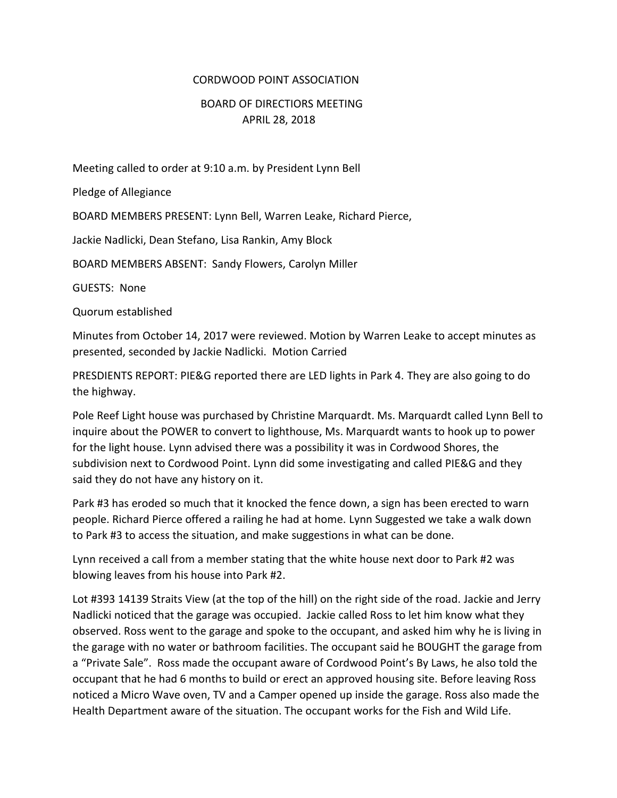## CORDWOOD POINT ASSOCIATION

## BOARD OF DIRECTIORS MEETING APRIL 28, 2018

Meeting called to order at 9:10 a.m. by President Lynn Bell

Pledge of Allegiance

BOARD MEMBERS PRESENT: Lynn Bell, Warren Leake, Richard Pierce,

Jackie Nadlicki, Dean Stefano, Lisa Rankin, Amy Block

BOARD MEMBERS ABSENT: Sandy Flowers, Carolyn Miller

GUESTS: None

Quorum established

Minutes from October 14, 2017 were reviewed. Motion by Warren Leake to accept minutes as presented, seconded by Jackie Nadlicki. Motion Carried

PRESDIENTS REPORT: PIE&G reported there are LED lights in Park 4. They are also going to do the highway.

Pole Reef Light house was purchased by Christine Marquardt. Ms. Marquardt called Lynn Bell to inquire about the POWER to convert to lighthouse, Ms. Marquardt wants to hook up to power for the light house. Lynn advised there was a possibility it was in Cordwood Shores, the subdivision next to Cordwood Point. Lynn did some investigating and called PIE&G and they said they do not have any history on it.

Park #3 has eroded so much that it knocked the fence down, a sign has been erected to warn people. Richard Pierce offered a railing he had at home. Lynn Suggested we take a walk down to Park #3 to access the situation, and make suggestions in what can be done.

Lynn received a call from a member stating that the white house next door to Park #2 was blowing leaves from his house into Park #2.

Lot #393 14139 Straits View (at the top of the hill) on the right side of the road. Jackie and Jerry Nadlicki noticed that the garage was occupied. Jackie called Ross to let him know what they observed. Ross went to the garage and spoke to the occupant, and asked him why he is living in the garage with no water or bathroom facilities. The occupant said he BOUGHT the garage from a "Private Sale". Ross made the occupant aware of Cordwood Point's By Laws, he also told the occupant that he had 6 months to build or erect an approved housing site. Before leaving Ross noticed a Micro Wave oven, TV and a Camper opened up inside the garage. Ross also made the Health Department aware of the situation. The occupant works for the Fish and Wild Life.